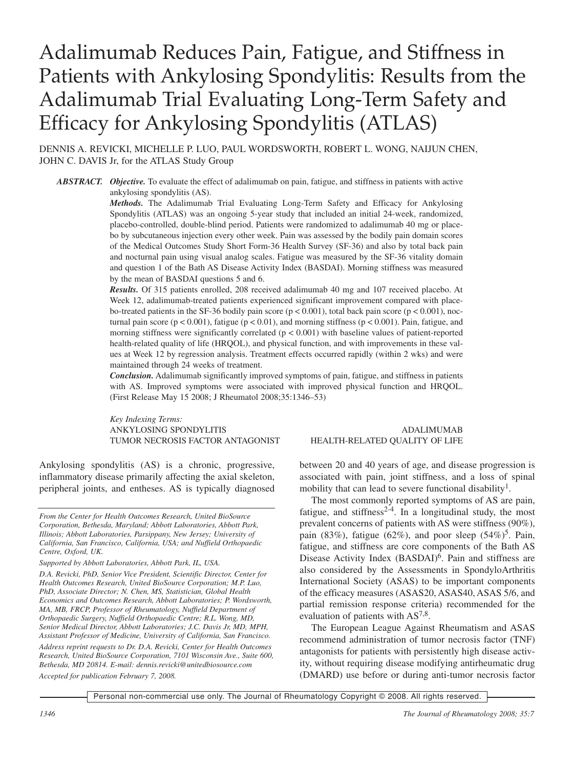# Adalimumab Reduces Pain, Fatigue, and Stiffness in Patients with Ankylosing Spondylitis: Results from the Adalimumab Trial Evaluating Long-Term Safety and Efficacy for Ankylosing Spondylitis (ATLAS)

DENNIS A. REVICKI, MICHELLE P. LUO, PAUL WORDSWORTH, ROBERT L. WONG, NAIJUN CHEN, JOHN C. DAVIS Jr, for the ATLAS Study Group

*ABSTRACT. Objective.* To evaluate the effect of adalimumab on pain, fatigue, and stiffness in patients with active ankylosing spondylitis (AS).

*Methods.* The Adalimumab Trial Evaluating Long-Term Safety and Efficacy for Ankylosing Spondylitis (ATLAS) was an ongoing 5-year study that included an initial 24-week, randomized, placebo-controlled, double-blind period. Patients were randomized to adalimumab 40 mg or placebo by subcutaneous injection every other week. Pain was assessed by the bodily pain domain scores of the Medical Outcomes Study Short Form-36 Health Survey (SF-36) and also by total back pain and nocturnal pain using visual analog scales. Fatigue was measured by the SF-36 vitality domain and question 1 of the Bath AS Disease Activity Index (BASDAI). Morning stiffness was measured by the mean of BASDAI questions 5 and 6.

*Results.* Of 315 patients enrolled, 208 received adalimumab 40 mg and 107 received placebo. At Week 12, adalimumab-treated patients experienced significant improvement compared with placebo-treated patients in the SF-36 bodily pain score ( $p < 0.001$ ), total back pain score ( $p < 0.001$ ), nocturnal pain score ( $p < 0.001$ ), fatigue ( $p < 0.01$ ), and morning stiffness ( $p < 0.001$ ). Pain, fatigue, and morning stiffness were significantly correlated  $(p < 0.001)$  with baseline values of patient-reported health-related quality of life (HRQOL), and physical function, and with improvements in these values at Week 12 by regression analysis. Treatment effects occurred rapidly (within 2 wks) and were maintained through 24 weeks of treatment.

*Conclusion.* Adalimumab significantly improved symptoms of pain, fatigue, and stiffness in patients with AS. Improved symptoms were associated with improved physical function and HRQOL. (First Release May 15 2008; J Rheumatol 2008;35:1346–53)

*Key Indexing Terms:* ANKYLOSING SPONDYLITIS ADALIMUMAB TUMOR NECROSIS FACTOR ANTAGONIST HEALTH-RELATED QUALITY OF LIFE

Ankylosing spondylitis (AS) is a chronic, progressive, inflammatory disease primarily affecting the axial skeleton, peripheral joints, and entheses. AS is typically diagnosed

*From the Center for Health Outcomes Research, United BioSource Corporation, Bethesda, Maryland; Abbott Laboratories, Abbott Park, Illinois; Abbott Laboratories, Parsippany, New Jersey; University of California, San Francisco, California, USA; and Nuffield Orthopaedic Centre, Oxford, UK.*

*D.A. Revicki, PhD, Senior Vice President, Scientific Director, Center for Health Outcomes Research, United BioSource Corporation; M.P. Luo, PhD, Associate Director; N. Chen, MS, Statistician, Global Health Economics and Outcomes Research, Abbott Laboratories; P. Wordsworth, MA, MB, FRCP, Professor of Rheumatology, Nuffield Department of Orthopaedic Surgery, Nuffield Orthopaedic Centre; R.L. Wong, MD, Senior Medical Director, Abbott Laboratories; J.C. Davis Jr, MD, MPH, Assistant Professor of Medicine, University of California, San Francisco. Address reprint requests to Dr. D.A. Revicki, Center for Health Outcomes Research, United BioSource Corporation, 7101 Wisconsin Ave., Suite 600, Bethesda, MD 20814. E-mail: dennis.revicki@unitedbiosource.com Accepted for publication February 7, 2008.*

between 20 and 40 years of age, and disease progression is associated with pain, joint stiffness, and a loss of spinal mobility that can lead to severe functional disability<sup>1</sup>.

The most commonly reported symptoms of AS are pain, fatigue, and stiffness $2-4$ . In a longitudinal study, the most prevalent concerns of patients with AS were stiffness (90%), pain (83%), fatigue (62%), and poor sleep (54%)<sup>5</sup>. Pain, fatigue, and stiffness are core components of the Bath AS Disease Activity Index (BASDAI)<sup>6</sup>. Pain and stiffness are also considered by the Assessments in SpondyloArthritis International Society (ASAS) to be important components of the efficacy measures (ASAS20, ASAS40, ASAS 5/6, and partial remission response criteria) recommended for the evaluation of patients with  $AS^{7,8}$ .

The European League Against Rheumatism and ASAS recommend administration of tumor necrosis factor (TNF) antagonists for patients with persistently high disease activity, without requiring disease modifying antirheumatic drug (DMARD) use before or during anti-tumor necrosis factor

*Supported by Abbott Laboratories, Abbott Park, IL, USA.*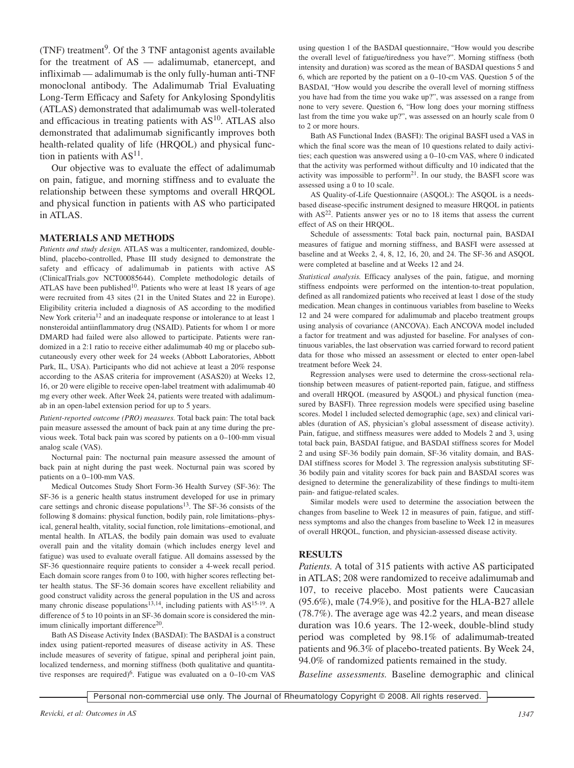(TNF) treatment 9. Of the 3 TNF antagonist agents available for the treatment of AS — adalimumab, etanercept, and infliximab — adalimumab is the only fully-human anti-TNF monoclonal antibody. The Adalimumab Trial Evaluating Long-Term Efficacy and Safety for Ankylosing Spondylitis (ATLAS) demonstrated that adalimumab was well-tolerated and efficacious in treating patients with  $AS<sup>10</sup>$ . ATLAS also demonstrated that adalimumab significantly improves both health-related quality of life (HRQOL) and physical function in patients with  $AS<sup>11</sup>$ .

Our objective was to evaluate the effect of adalimumab on pain, fatigue, and morning stiffness and to evaluate the relationship between these symptoms and overall HRQOL and physical function in patients with AS who participated in ATLAS.

#### **MATERIALS AND METHODS**

*Patients and study design.* ATLAS was a multicenter, randomized, doubleblind, placebo-controlled, Phase III study designed to demonstrate the safety and efficacy of adalimumab in patients with active AS (ClinicalTrials.gov NCT00085644). Complete methodologic details of ATLAS have been published<sup>10</sup>. Patients who were at least 18 years of age were recruited from 43 sites (21 in the United States and 22 in Europe). Eligibility criteria included a diagnosis of AS according to the modified New York criteria<sup>12</sup> and an inadequate response or intolerance to at least 1 nonsteroidal antiinflammatory drug (NSAID). Patients for whom 1 or more DMARD had failed were also allowed to participate. Patients were randomized in a 2:1 ratio to receive either adalimumab 40 mg or placebo subcutaneously every other week for 24 weeks (Abbott Laboratories, Abbott Park, IL, USA). Participants who did not achieve at least a 20% response according to the ASAS criteria for improvement (ASAS20) at Weeks 12, 16, or 20 were eligible to receive open-label treatment with adalimumab 40 mg every other week. After Week 24, patients were treated with adalimumab in an open-label extension period for up to 5 years.

*Patient-reported outcome (PRO) measures.* Total back pain: The total back pain measure assessed the amount of back pain at any time during the previous week. Total back pain was scored by patients on a 0–100-mm visual analog scale (VAS).

Nocturnal pain: The nocturnal pain measure assessed the amount of back pain at night during the past week. Nocturnal pain was scored by patients on a 0–100-mm VAS.

Medical Outcomes Study Short Form-36 Health Survey (SF-36): The SF-36 is a generic health status instrument developed for use in primary care settings and chronic disease populations<sup>13</sup>. The SF-36 consists of the following 8 domains: physical function, bodily pain, role limitations–physical, general health, vitality, social function, role limitations–emotional, and mental health. In ATLAS, the bodily pain domain was used to evaluate overall pain and the vitality domain (which includes energy level and fatigue) was used to evaluate overall fatigue. All domains assessed by the SF-36 questionnaire require patients to consider a 4-week recall period. Each domain score ranges from 0 to 100, with higher scores reflecting better health status. The SF-36 domain scores have excellent reliability and good construct validity across the general population in the US and across many chronic disease populations<sup>13,14</sup>, including patients with  $AS^{15-19}$ . A difference of 5 to 10 points in an SF-36 domain score is considered the minimum clinically important difference<sup>20</sup>.

Bath AS Disease Activity Index (BASDAI): The BASDAI is a construct index using patient-reported measures of disease activity in AS. These include measures of severity of fatigue, spinal and peripheral joint pain, localized tenderness, and morning stiffness (both qualitative and quantitative responses are required)<sup>6</sup>. Fatigue was evaluated on a 0-10-cm VAS using question 1 of the BASDAI questionnaire, "How would you describe the overall level of fatigue/tiredness you have?". Morning stiffness (both intensity and duration) was scored as the mean of BASDAI questions 5 and 6, which are reported by the patient on a 0–10-cm VAS. Question 5 of the BASDAI, "How would you describe the overall level of morning stiffness you have had from the time you wake up?", was assessed on a range from none to very severe. Question 6, "How long does your morning stiffness last from the time you wake up?", was assessed on an hourly scale from 0 to 2 or more hours.

Bath AS Functional Index (BASFI): The original BASFI used a VAS in which the final score was the mean of 10 questions related to daily activities; each question was answered using a 0–10-cm VAS, where 0 indicated that the activity was performed without difficulty and 10 indicated that the activity was impossible to perform<sup>21</sup>. In our study, the BASFI score was assessed using a 0 to 10 scale.

AS Quality-of-Life Questionnaire (ASQOL): The ASQOL is a needsbased disease-specific instrument designed to measure HRQOL in patients with AS<sup>22</sup>. Patients answer yes or no to 18 items that assess the current effect of AS on their HRQOL.

Schedule of assessments: Total back pain, nocturnal pain, BASDAI measures of fatigue and morning stiffness, and BASFI were assessed at baseline and at Weeks 2, 4, 8, 12, 16, 20, and 24. The SF-36 and ASQOL were completed at baseline and at Weeks 12 and 24.

*Statistical analysis.* Efficacy analyses of the pain, fatigue, and morning stiffness endpoints were performed on the intention-to-treat population, defined as all randomized patients who received at least 1 dose of the study medication. Mean changes in continuous variables from baseline to Weeks 12 and 24 were compared for adalimumab and placebo treatment groups using analysis of covariance (ANCOVA). Each ANCOVA model included a factor for treatment and was adjusted for baseline. For analyses of continuous variables, the last observation was carried forward to record patient data for those who missed an assessment or elected to enter open-label treatment before Week 24.

Regression analyses were used to determine the cross-sectional relationship between measures of patient-reported pain, fatigue, and stiffness and overall HRQOL (measured by ASQOL) and physical function (measured by BASFI). Three regression models were specified using baseline scores. Model 1 included selected demographic (age, sex) and clinical variables (duration of AS, physician's global assessment of disease activity). Pain, fatigue, and stiffness measures were added to Models 2 and 3, using total back pain, BASDAI fatigue, and BASDAI stiffness scores for Model 2 and using SF-36 bodily pain domain, SF-36 vitality domain, and BAS-DAI stiffness scores for Model 3. The regression analysis substituting SF-36 bodily pain and vitality scores for back pain and BASDAI scores was designed to determine the generalizability of these findings to multi-item pain- and fatigue-related scales.

Similar models were used to determine the association between the changes from baseline to Week 12 in measures of pain, fatigue, and stiffness symptoms and also the changes from baseline to Week 12 in measures of overall HRQOL, function, and physician-assessed disease activity.

## **RESULTS**

*Patients.* A total of 315 patients with active AS participated in ATLAS; 208 were randomized to receive adalimumab and 107, to receive placebo. Most patients were Caucasian (95.6%), male (74.9%), and positive for the HLA-B27 allele (78.7%). The average age was 42.2 years, and mean disease duration was 10.6 years. The 12-week, double-blind study period was completed by 98.1% of adalimumab-treated patients and 96.3% of placebo-treated patients. By Week 24, 94.0% of randomized patients remained in the study.

*Baseline assessments.* Baseline demographic and clinical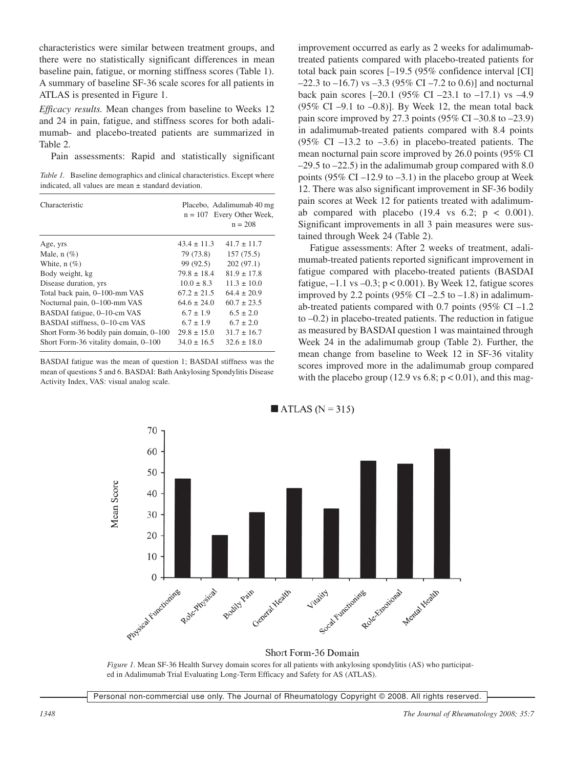characteristics were similar between treatment groups, and there were no statistically significant differences in mean baseline pain, fatigue, or morning stiffness scores (Table 1). A summary of baseline SF-36 scale scores for all patients in ATLAS is presented in Figure 1.

*Efficacy results.* Mean changes from baseline to Weeks 12 and 24 in pain, fatigue, and stiffness scores for both adalimumab- and placebo-treated patients are summarized in Table 2.

Pain assessments: Rapid and statistically significant

*Table 1.* Baseline demographics and clinical characteristics. Except where indicated, all values are mean  $\pm$  standard deviation.

| Characteristic                          |                 | Placebo, Adalimumab 40 mg<br>$n = 107$ Every Other Week,<br>$n = 208$ |
|-----------------------------------------|-----------------|-----------------------------------------------------------------------|
| Age, yrs                                | $43.4 \pm 11.3$ | $41.7 \pm 11.7$                                                       |
| Male, $n$ (%)                           | 79 (73.8)       | 157(75.5)                                                             |
| White, $n$ (%)                          | 99 (92.5)       | 202(97.1)                                                             |
| Body weight, kg                         | $79.8 \pm 18.4$ | $81.9 \pm 17.8$                                                       |
| Disease duration, yrs                   | $10.0 \pm 8.3$  | $11.3 \pm 10.0$                                                       |
| Total back pain, 0-100-mm VAS           | $67.2 \pm 21.5$ | $64.4 \pm 20.9$                                                       |
| Nocturnal pain, 0-100-mm VAS            | $64.6 \pm 24.0$ | $60.7 \pm 23.5$                                                       |
| BASDAI fatigue, 0-10-cm VAS             | $6.7 \pm 1.9$   | $6.5 \pm 2.0$                                                         |
| BASDAI stiffness, 0-10-cm VAS           | $6.7 \pm 1.9$   | $6.7 \pm 2.0$                                                         |
| Short Form-36 bodily pain domain, 0–100 | $29.8 \pm 15.0$ | $31.7 \pm 16.7$                                                       |
| Short Form-36 vitality domain, 0-100    | $34.0 \pm 16.5$ | $32.6 \pm 18.0$                                                       |

BASDAI fatigue was the mean of question 1; BASDAI stiffness was the mean of questions 5 and 6. BASDAI: Bath Ankylosing Spondylitis Disease Activity Index, VAS: visual analog scale.

improvement occurred as early as 2 weeks for adalimumabtreated patients compared with placebo-treated patients for total back pain scores [–19.5 (95% confidence interval [CI]  $-22.3$  to  $-16.7$ ) vs  $-3.3$  (95% CI  $-7.2$  to 0.6)] and nocturnal back pain scores  $[-20.1 (95\% \text{ CI} -23.1 \text{ to } -17.1) \text{ vs } -4.9]$  $(95\% \text{ CI} - 9.1 \text{ to } -0.8)$ ]. By Week 12, the mean total back pain score improved by 27.3 points  $(95\% \text{ CI} - 30.8 \text{ to } -23.9)$ in adalimumab-treated patients compared with 8.4 points (95% CI –13.2 to –3.6) in placebo-treated patients. The mean nocturnal pain score improved by 26.0 points (95% CI  $-29.5$  to  $-22.5$ ) in the adalimumab group compared with 8.0 points (95% CI –12.9 to –3.1) in the placebo group at Week 12. There was also significant improvement in SF-36 bodily pain scores at Week 12 for patients treated with adalimumab compared with placebo  $(19.4 \text{ vs } 6.2; \text{ p} < 0.001)$ . Significant improvements in all 3 pain measures were sustained through Week 24 (Table 2).

Fatigue assessments: After 2 weeks of treatment, adalimumab-treated patients reported significant improvement in fatigue compared with placebo-treated patients (BASDAI fatigue,  $-1.1$  vs  $-0.3$ ;  $p < 0.001$ ). By Week 12, fatigue scores improved by 2.2 points (95% CI –2.5 to –1.8) in adalimumab-treated patients compared with 0.7 points  $(95\% \text{ CI} - 1.2)$ to –0.2) in placebo-treated patients. The reduction in fatigue as measured by BASDAI question 1 was maintained through Week 24 in the adalimumab group (Table 2). Further, the mean change from baseline to Week 12 in SF-36 vitality scores improved more in the adalimumab group compared with the placebo group (12.9 vs  $6.8$ ;  $p < 0.01$ ), and this mag-



Short Form-36 Domain *Figure 1.* Mean SF-36 Health Survey domain scores for all patients with ankylosing spondylitis (AS) who participated in Adalimumab Trial Evaluating Long-Term Efficacy and Safety for AS (ATLAS).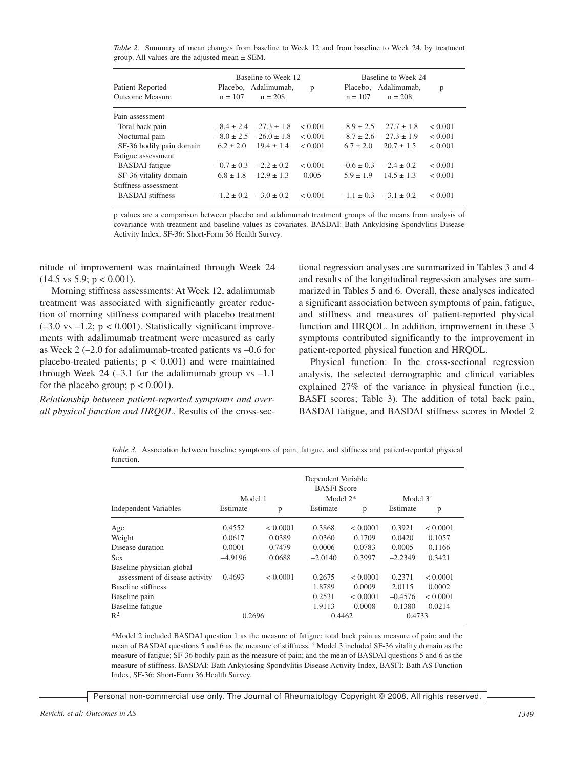*Table 2.* Summary of mean changes from baseline to Week 12 and from baseline to Week 24, by treatment group. All values are the adjusted mean ± SEM.

| Patient-Reported<br>Outcome Measure | Baseline to Week 12<br>Placebo, Adalimumab,<br>$n = 107$<br>$n = 208$ | p       | Baseline to Week 24<br>Placebo, Adalimumab,<br>$n = 107$<br>$n = 208$ | p            |
|-------------------------------------|-----------------------------------------------------------------------|---------|-----------------------------------------------------------------------|--------------|
| Pain assessment                     |                                                                       |         |                                                                       |              |
| Total back pain                     | $-8.4 \pm 2.4$ $-27.3 \pm 1.8$                                        | < 0.001 | $-8.9 \pm 2.5$ $-27.7 \pm 1.8$                                        | < 0.001      |
| Nocturnal pain                      | $-8.0 \pm 2.5$ $-26.0 \pm 1.8$                                        | < 0.001 | $-27.3 \pm 1.9$<br>$-8.7 \pm 2.6$                                     | < 0.001      |
| SF-36 bodily pain domain            | $6.2 \pm 2.0$<br>$19.4 \pm 1.4$                                       | < 0.001 | $20.7 \pm 1.5$<br>$6.7 \pm 2.0$                                       | < 0.001      |
| Fatigue assessment                  |                                                                       |         |                                                                       |              |
| <b>BASDAI</b> fatigue               | $-2.2 \pm 0.2$<br>$-0.7 \pm 0.3$                                      | < 0.001 | $-2.4 \pm 0.2$<br>$-0.6 \pm 0.3$                                      | ${}_{0.001}$ |
| SF-36 vitality domain               | $12.9 \pm 1.3$<br>$6.8 \pm 1.8$                                       | 0.005   | $14.5 \pm 1.3$<br>$5.9 \pm 1.9$                                       | < 0.001      |
| Stiffness assessment                |                                                                       |         |                                                                       |              |
| <b>BASDAI</b> stiffness             | $-3.0 \pm 0.2$<br>$-1.2 \pm 0.2$                                      | < 0.001 | $-3.1 \pm 0.2$<br>$-1.1 \pm 0.3$                                      | < 0.001      |

p values are a comparison between placebo and adalimumab treatment groups of the means from analysis of covariance with treatment and baseline values as covariates. BASDAI: Bath Ankylosing Spondylitis Disease Activity Index, SF-36: Short-Form 36 Health Survey.

nitude of improvement was maintained through Week 24  $(14.5 \text{ vs } 5.9; \text{ p} < 0.001).$ 

Morning stiffness assessments: At Week 12, adalimumab treatment was associated with significantly greater reduction of morning stiffness compared with placebo treatment  $(-3.0 \text{ vs } -1.2; \text{ p} < 0.001)$ . Statistically significant improvements with adalimumab treatment were measured as early as Week 2 (–2.0 for adalimumab-treated patients vs –0.6 for placebo-treated patients;  $p < 0.001$ ) and were maintained through Week  $24$  (-3.1 for the adalimumab group vs -1.1) for the placebo group;  $p < 0.001$ ).

*Relationship between patient-reported symptoms and overall physical function and HRQOL.* Results of the cross-sectional regression analyses are summarized in Tables 3 and 4 and results of the longitudinal regression analyses are summarized in Tables 5 and 6. Overall, these analyses indicated a significant association between symptoms of pain, fatigue, and stiffness and measures of patient-reported physical function and HRQOL. In addition, improvement in these 3 symptoms contributed significantly to the improvement in patient-reported physical function and HRQOL.

Physical function: In the cross-sectional regression analysis, the selected demographic and clinical variables explained 27% of the variance in physical function (i.e., BASFI scores; Table 3). The addition of total back pain, BASDAI fatigue, and BASDAI stiffness scores in Model 2

*Table 3.* Association between baseline symptoms of pain, fatigue, and stiffness and patient-reported physical function.

|                                                             | Model 1   |          | Dependent Variable<br><b>BASFI</b> Score<br>Model $2*$ |          | Model $3^{\dagger}$ |          |
|-------------------------------------------------------------|-----------|----------|--------------------------------------------------------|----------|---------------------|----------|
| <b>Independent Variables</b>                                | Estimate  | p        | Estimate                                               | p        | Estimate            | p        |
| Age                                                         | 0.4552    | < 0.0001 | 0.3868                                                 | < 0.0001 | 0.3921              | < 0.0001 |
| Weight                                                      | 0.0617    | 0.0389   | 0.0360                                                 | 0.1709   | 0.0420              | 0.1057   |
| Disease duration                                            | 0.0001    | 0.7479   | 0.0006                                                 | 0.0783   | 0.0005              | 0.1166   |
| <b>Sex</b>                                                  | $-4.9196$ | 0.0688   | $-2.0140$                                              | 0.3997   | $-2.2349$           | 0.3421   |
| Baseline physician global<br>assessment of disease activity | 0.4693    | < 0.0001 | 0.2675                                                 | < 0.0001 | 0.2371              | < 0.0001 |
| Baseline stiffness                                          |           |          | 1.8789                                                 | 0.0009   | 2.0115              | 0.0002   |
| Baseline pain                                               |           |          | 0.2531                                                 | < 0.0001 | $-0.4576$           | < 0.0001 |
| Baseline fatigue                                            |           |          | 1.9113                                                 | 0.0008   | $-0.1380$           | 0.0214   |
| $R^2$                                                       | 0.2696    |          | 0.4462                                                 |          | 0.4733              |          |

\*Model 2 included BASDAI question 1 as the measure of fatigue; total back pain as measure of pain; and the mean of BASDAI questions 5 and 6 as the measure of stiffness. † Model 3 included SF-36 vitality domain as the measure of fatigue; SF-36 bodily pain as the measure of pain; and the mean of BASDAI questions 5 and 6 as the measure of stiffness. BASDAI: Bath Ankylosing Spondylitis Disease Activity Index, BASFI: Bath AS Function Index, SF-36: Short-Form 36 Health Survey.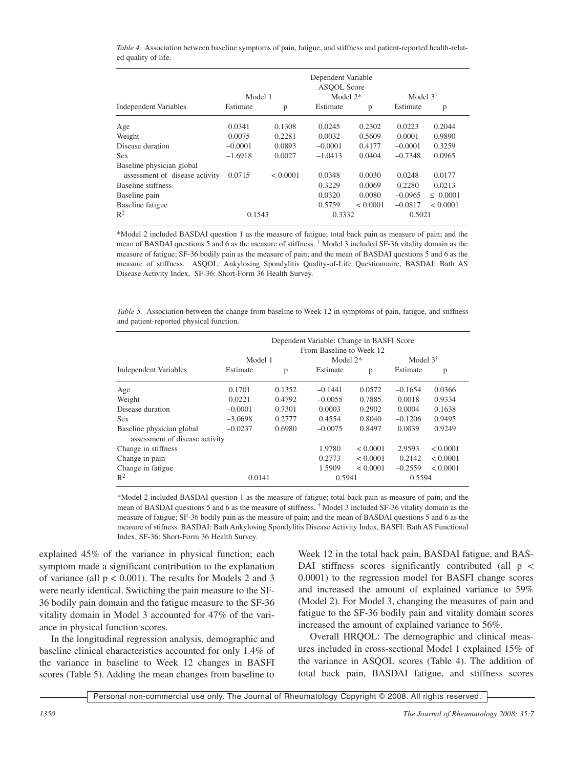*Table 4.* Association between baseline symptoms of pain, fatigue, and stiffness and patient-reported health-related quality of life.

|                                | Dependent Variable<br><b>ASOOL Score</b><br>Model $2*$<br>Model 1 |          |           | Model $3^{\dagger}$ |           |               |
|--------------------------------|-------------------------------------------------------------------|----------|-----------|---------------------|-----------|---------------|
| Independent Variables          | Estimate                                                          | p        | Estimate  | p                   | Estimate  | p             |
| Age                            | 0.0341                                                            | 0.1308   | 0.0245    | 0.2302              | 0.0223    | 0.2044        |
| Weight                         | 0.0075                                                            | 0.2281   | 0.0032    | 0.5609              | 0.0001    | 0.9890        |
| Disease duration               | $-0.0001$                                                         | 0.0893   | $-0.0001$ | 0.4177              | $-0.0001$ | 0.3259        |
| <b>Sex</b>                     | $-1.6918$                                                         | 0.0027   | $-1.0413$ | 0.0404              | $-0.7348$ | 0.0965        |
| Baseline physician global      |                                                                   |          |           |                     |           |               |
| assessment of disease activity | 0.0715                                                            | < 0.0001 | 0.0348    | 0.0030              | 0.0248    | 0.0177        |
| Baseline stiffness             |                                                                   |          | 0.3229    | 0.0069              | 0.2280    | 0.0213        |
| Baseline pain                  |                                                                   |          | 0.0320    | 0.0080              | $-0.0965$ | $\leq 0.0001$ |
| Baseline fatigue               |                                                                   |          | 0.5759    | < 0.0001            | $-0.0817$ | < 0.0001      |
| $R^2$                          | 0.1543                                                            |          | 0.3332    |                     | 0.5021    |               |

\*Model 2 included BASDAI question 1 as the measure of fatigue; total back pain as measure of pain; and the mean of BASDAI questions 5 and 6 as the measure of stiffness. † Model 3 included SF-36 vitality domain as the measure of fatigue; SF-36 bodily pain as the measure of pain; and the mean of BASDAI questions 5 and 6 as the measure of stiffness. ASQOL: Ankylosing Spondylitis Quality-of-Life Questionnaire, BASDAI: Bath AS Disease Activity Index, SF-36: Short-Form 36 Health Survey.

*Table* 5. Association between the change from baseline to Week 12 in symptoms of pain, fatigue, and stiffness and patient-reported physical function.

|                                                             |           | Dependent Variable: Change in BASFI Score<br>From Baseline to Week 12<br>Model $3^{\dagger}$<br>Model 1<br>Model $2*$ |           |          |           |          |
|-------------------------------------------------------------|-----------|-----------------------------------------------------------------------------------------------------------------------|-----------|----------|-----------|----------|
| <b>Independent Variables</b>                                | Estimate  | p                                                                                                                     | Estimate  | p        | Estimate  | p        |
| Age                                                         | 0.1701    | 0.1352                                                                                                                | $-0.1441$ | 0.0572   | $-0.1654$ | 0.0366   |
| Weight                                                      | 0.0221    | 0.4792                                                                                                                | $-0.0055$ | 0.7885   | 0.0018    | 0.9334   |
| Disease duration                                            | $-0.0001$ | 0.7301                                                                                                                | 0.0003    | 0.2902   | 0.0004    | 0.1638   |
| <b>Sex</b>                                                  | $-3.0698$ | 0.2777                                                                                                                | 0.4554    | 0.8040   | $-0.1206$ | 0.9495   |
| Baseline physician global<br>assessment of disease activity | $-0.0237$ | 0.6980                                                                                                                | $-0.0075$ | 0.8497   | 0.0039    | 0.9249   |
| Change in stiffness                                         |           |                                                                                                                       | 1.9780    | < 0.0001 | 2.9593    | < 0.0001 |
| Change in pain                                              |           |                                                                                                                       | 0.2773    | < 0.0001 | $-0.2142$ | < 0.0001 |
| Change in fatigue                                           |           |                                                                                                                       | 1.5909    | < 0.0001 | $-0.2559$ | < 0.0001 |
| $R^2$                                                       | 0.0141    |                                                                                                                       | 0.5941    |          | 0.5594    |          |

\*Model 2 included BASDAI question 1 as the measure of fatigue; total back pain as measure of pain; and the mean of BASDAI questions 5 and 6 as the measure of stiffness. † Model 3 included SF-36 vitality domain as the measure of fatigue; SF-36 bodily pain as the measure of pain; and the mean of BASDAI questions 5 and 6 as the measure of stifness. BASDAI: Bath Ankylosing Spondylitis Disease Activity Index, BASFI: Bath AS Functional Index, SF-36: Short-Form 36 Health Survey.

explained 45% of the variance in physical function; each symptom made a significant contribution to the explanation of variance (all  $p < 0.001$ ). The results for Models 2 and 3 were nearly identical. Switching the pain measure to the SF-36 bodily pain domain and the fatigue measure to the SF-36 vitality domain in Model 3 accounted for 47% of the variance in physical function scores.

In the longitudinal regression analysis, demographic and baseline clinical characteristics accounted for only 1.4% of the variance in baseline to Week 12 changes in BASFI scores (Table 5). Adding the mean changes from baseline to Week 12 in the total back pain, BASDAI fatigue, and BAS-DAI stiffness scores significantly contributed (all  $p \leq$ 0.0001) to the regression model for BASFI change scores and increased the amount of explained variance to 59% (Model 2). For Model 3, changing the measures of pain and fatigue to the SF-36 bodily pain and vitality domain scores increased the amount of explained variance to 56%.

Overall HRQOL: The demographic and clinical measures included in cross-sectional Model 1 explained 15% of the variance in ASQOL scores (Table 4). The addition of total back pain, BASDAI fatigue, and stiffness scores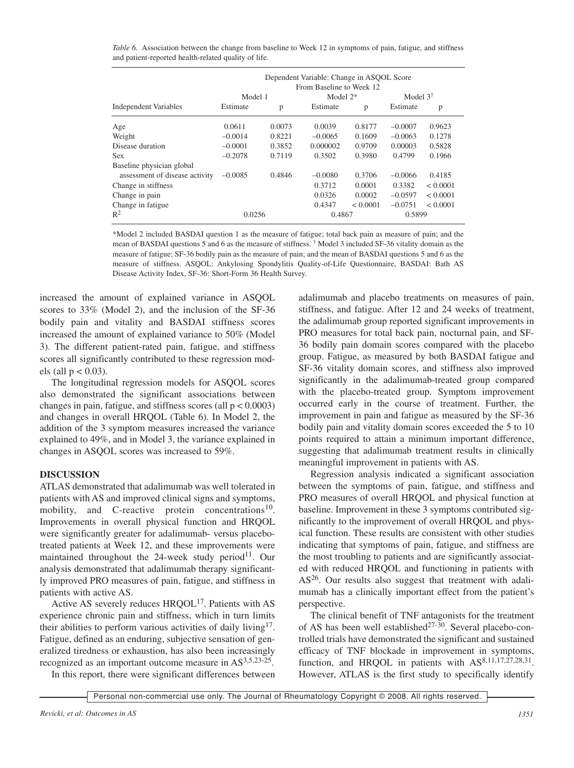*Table 6.* Association between the change from baseline to Week 12 in symptoms of pain, fatigue, and stiffness and patient-reported health-related quality of life.

|                                | Dependent Variable: Change in ASQOL Score<br>From Baseline to Week 12 |        |            |          |                     |          |
|--------------------------------|-----------------------------------------------------------------------|--------|------------|----------|---------------------|----------|
|                                | Model 1                                                               |        | Model $2*$ |          | Model $3^{\dagger}$ |          |
| <b>Independent Variables</b>   | Estimate                                                              | p      | Estimate   | p        | Estimate            | p        |
| Age                            | 0.0611                                                                | 0.0073 | 0.0039     | 0.8177   | $-0.0007$           | 0.9623   |
| Weight                         | $-0.0014$                                                             | 0.8221 | $-0.0065$  | 0.1609   | $-0.0063$           | 0.1278   |
| Disease duration               | $-0.0001$                                                             | 0.3852 | 0.000002   | 0.9709   | 0.00003             | 0.5828   |
| <b>Sex</b>                     | $-0.2078$                                                             | 0.7119 | 0.3502     | 0.3980   | 0.4799              | 0.1966   |
| Baseline physician global      |                                                                       |        |            |          |                     |          |
| assessment of disease activity | $-0.0085$                                                             | 0.4846 | $-0.0080$  | 0.3706   | $-0.0066$           | 0.4185   |
| Change in stiffness            |                                                                       |        | 0.3712     | 0.0001   | 0.3382              | < 0.0001 |
| Change in pain                 |                                                                       |        | 0.0326     | 0.0002   | $-0.0597$           | < 0.0001 |
| Change in fatigue              |                                                                       |        | 0.4347     | < 0.0001 | $-0.0751$           | < 0.0001 |
| $R^2$                          | 0.0256                                                                |        | 0.4867     |          | 0.5899              |          |

\*Model 2 included BASDAI question 1 as the measure of fatigue; total back pain as measure of pain; and the mean of BASDAI questions 5 and 6 as the measure of stiffness. † Model 3 included SF-36 vitality domain as the measure of fatigue; SF-36 bodily pain as the measure of pain; and the mean of BASDAI questions 5 and 6 as the measure of stiffness. ASQOL: Ankylosing Spondylitis Quality-of-Life Questionnaire, BASDAI: Bath AS Disease Activity Index, SF-36: Short-Form 36 Health Survey.

increased the amount of explained variance in ASQOL scores to 33% (Model 2), and the inclusion of the SF-36 bodily pain and vitality and BASDAI stiffness scores increased the amount of explained variance to 50% (Model 3). The different patient-rated pain, fatigue, and stiffness scores all significantly contributed to these regression models (all  $p < 0.03$ ).

The longitudinal regression models for ASQOL scores also demonstrated the significant associations between changes in pain, fatigue, and stiffness scores (all  $p < 0.0003$ ) and changes in overall HRQOL (Table 6). In Model 2, the addition of the 3 symptom measures increased the variance explained to 49%, and in Model 3, the variance explained in changes in ASQOL scores was increased to 59%.

## **DISCUSSION**

ATLAS demonstrated that adalimumab was well tolerated in patients with AS and improved clinical signs and symptoms, mobility, and C-reactive protein concentrations<sup>10</sup>. Improvements in overall physical function and HRQOL were significantly greater for adalimumab- versus placebotreated patients at Week 12, and these improvements were maintained throughout the  $24$ -week study period<sup>11</sup>. Our analysis demonstrated that adalimumab therapy significantly improved PRO measures of pain, fatigue, and stiffness in patients with active AS.

Active AS severely reduces  $HROOL<sup>17</sup>$ . Patients with AS experience chronic pain and stiffness, which in turn limits their abilities to perform various activities of daily living<sup>17</sup>. Fatigue, defined as an enduring, subjective sensation of generalized tiredness or exhaustion, has also been increasingly recognized as an important outcome measure in AS3,5,23-25.

adalimumab and placebo treatments on measures of pain, stiffness, and fatigue. After 12 and 24 weeks of treatment, the adalimumab group reported significant improvements in PRO measures for total back pain, nocturnal pain, and SF-36 bodily pain domain scores compared with the placebo group. Fatigue, as measured by both BASDAI fatigue and SF-36 vitality domain scores, and stiffness also improved significantly in the adalimumab-treated group compared with the placebo-treated group. Symptom improvement occurred early in the course of treatment. Further, the improvement in pain and fatigue as measured by the SF-36 bodily pain and vitality domain scores exceeded the 5 to 10 points required to attain a minimum important difference, suggesting that adalimumab treatment results in clinically meaningful improvement in patients with AS.

Regression analysis indicated a significant association between the symptoms of pain, fatigue, and stiffness and PRO measures of overall HRQOL and physical function at baseline. Improvement in these 3 symptoms contributed significantly to the improvement of overall HRQOL and physical function. These results are consistent with other studies indicating that symptoms of pain, fatigue, and stiffness are the most troubling to patients and are significantly associated with reduced HRQOL and functioning in patients with AS<sup>26</sup>. Our results also suggest that treatment with adalimumab has a clinically important effect from the patient's perspective.

The clinical benefit of TNF antagonists for the treatment of AS has been well established<sup>27-30</sup>. Several placebo-controlled trials have demonstrated the significant and sustained efficacy of TNF blockade in improvement in symptoms, function, and HRQOL in patients with AS<sup>8,11,17,27,28,31</sup>. However, ATLAS is the first study to specifically identify

In this report, there were significant differences between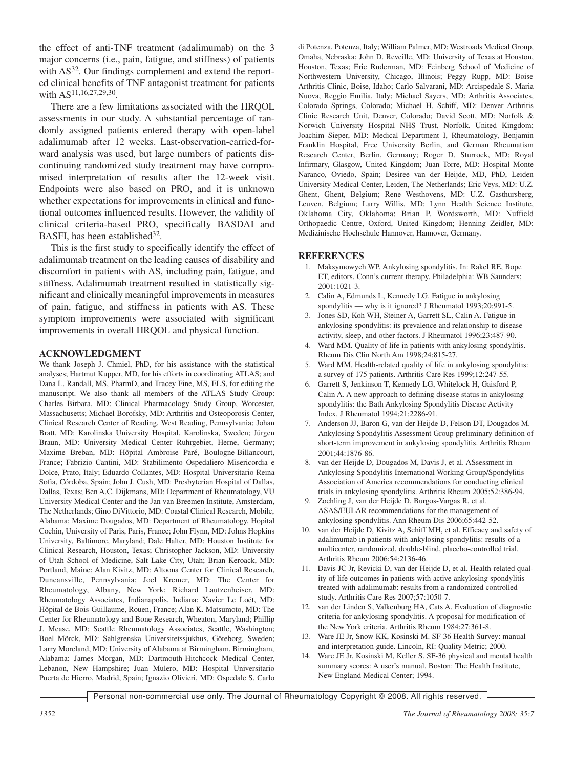the effect of anti-TNF treatment (adalimumab) on the 3 major concerns (i.e., pain, fatigue, and stiffness) of patients with  $AS<sup>32</sup>$ . Our findings complement and extend the reported clinical benefits of TNF antagonist treatment for patients with AS<sup>11,16,27,29,30</sup>.

There are a few limitations associated with the HRQOL assessments in our study. A substantial percentage of randomly assigned patients entered therapy with open-label adalimumab after 12 weeks. Last-observation-carried-forward analysis was used, but large numbers of patients discontinuing randomized study treatment may have compromised interpretation of results after the 12-week visit. Endpoints were also based on PRO, and it is unknown whether expectations for improvements in clinical and functional outcomes influenced results. However, the validity of clinical criteria-based PRO, specifically BASDAI and BASFI, has been established $32$ .

This is the first study to specifically identify the effect of adalimumab treatment on the leading causes of disability and discomfort in patients with AS, including pain, fatigue, and stiffness. Adalimumab treatment resulted in statistically significant and clinically meaningful improvements in measures of pain, fatigue, and stiffness in patients with AS. These symptom improvements were associated with significant improvements in overall HRQOL and physical function.

## **ACKNOWLEDGMENT**

We thank Joseph J. Chmiel, PhD, for his assistance with the statistical analyses; Hartmut Kupper, MD, for his efforts in coordinating ATLAS; and Dana L. Randall, MS, PharmD, and Tracey Fine, MS, ELS, for editing the manuscript. We also thank all members of the ATLAS Study Group: Charles Birbara, MD: Clinical Pharmacology Study Group, Worcester, Massachusetts; Michael Borofsky, MD: Arthritis and Osteoporosis Center, Clinical Research Center of Reading, West Reading, Pennsylvania; Johan Bratt, MD: Karolinska University Hospital, Karolinska, Sweden; Jürgen Braun, MD: University Medical Center Ruhrgebiet, Herne, Germany; Maxime Breban, MD: Hôpital Ambroise Paré, Boulogne-Billancourt, France; Fabrizio Cantini, MD: Stabilimento Ospedaliero Misericordia e Dolce, Prato, Italy; Eduardo Collantes, MD: Hospital Universitario Reina Sofia, Córdoba, Spain; John J. Cush, MD: Presbyterian Hospital of Dallas, Dallas, Texas; Ben A.C. Dijkmans, MD: Department of Rheumatology, VU University Medical Center and the Jan van Breemen Institute, Amsterdam, The Netherlands; Gino DiVittorio, MD: Coastal Clinical Research, Mobile, Alabama; Maxime Dougados, MD: Department of Rheumatology, Hopital Cochin, University of Paris, Paris, France; John Flynn, MD: Johns Hopkins University, Baltimore, Maryland; Dale Halter, MD: Houston Institute for Clinical Research, Houston, Texas; Christopher Jackson, MD: University of Utah School of Medicine, Salt Lake City, Utah; Brian Keroack, MD: Portland, Maine; Alan Kivitz, MD: Altoona Center for Clinical Research, Duncansville, Pennsylvania; Joel Kremer, MD: The Center for Rheumatology, Albany, New York; Richard Lautzenheiser, MD: Rheumatology Associates, Indianapolis, Indiana; Xavier Le Loët, MD: Hôpital de Bois-Guillaume, Rouen, France; Alan K. Matsumoto, MD: The Center for Rheumatology and Bone Research, Wheaton, Maryland; Phillip J. Mease, MD: Seattle Rheumatology Associates, Seattle, Washington; Boel Mörck, MD: Sahlgrenska Universitetssjukhus, Göteborg, Sweden; Larry Moreland, MD: University of Alabama at Birmingham, Birmingham, Alabama; James Morgan, MD: Dartmouth-Hitchcock Medical Center, Lebanon, New Hampshire; Juan Mulero, MD: Hospital Universitario Puerta de Hierro, Madrid, Spain; Ignazio Olivieri, MD: Ospedale S. Carlo di Potenza, Potenza, Italy; William Palmer, MD: Westroads Medical Group, Omaha, Nebraska; John D. Reveille, MD: University of Texas at Houston, Houston, Texas; Eric Ruderman, MD: Feinberg School of Medicine of Northwestern University, Chicago, Illinois; Peggy Rupp, MD: Boise Arthritis Clinic, Boise, Idaho; Carlo Salvarani, MD: Arcispedale S. Maria Nuova, Reggio Emilia, Italy; Michael Sayers, MD: Arthritis Associates, Colorado Springs, Colorado; Michael H. Schiff, MD: Denver Arthritis Clinic Research Unit, Denver, Colorado; David Scott, MD: Norfolk & Norwich University Hospital NHS Trust, Norfolk, United Kingdom; Joachim Sieper, MD: Medical Department I, Rheumatology, Benjamin Franklin Hospital, Free University Berlin, and German Rheumatism Research Center, Berlin, Germany; Roger D. Sturrock, MD: Royal Infirmary, Glasgow, United Kingdom; Juan Torre, MD: Hospital Monte Naranco, Oviedo, Spain; Desiree van der Heijde, MD, PhD, Leiden University Medical Center, Leiden, The Netherlands; Eric Veys, MD: U.Z. Ghent, Ghent, Belgium; Rene Westhovens, MD: U.Z. Gasthursberg, Leuven, Belgium; Larry Willis, MD: Lynn Health Science Institute, Oklahoma City, Oklahoma; Brian P. Wordsworth, MD: Nuffield Orthopaedic Centre, Oxford, United Kingdom; Henning Zeidler, MD: Medizinische Hochschule Hannover, Hannover, Germany.

## **REFERENCES**

- 1. Maksymowych WP. Ankylosing spondylitis. In: Rakel RE, Bope ET, editors. Conn's current therapy. Philadelphia: WB Saunders; 2001:1021-3.
- 2. Calin A, Edmunds L, Kennedy LG. Fatigue in ankylosing spondylitis — why is it ignored? J Rheumatol 1993;20:991-5.
- 3. Jones SD, Koh WH, Steiner A, Garrett SL, Calin A. Fatigue in ankylosing spondylitis: its prevalence and relationship to disease activity, sleep, and other factors. J Rheumatol 1996;23:487-90.
- 4. Ward MM. Quality of life in patients with ankylosing spondylitis. Rheum Dis Clin North Am 1998;24:815-27.
- 5. Ward MM. Health-related quality of life in ankylosing spondylitis: a survey of 175 patients. Arthritis Care Res 1999;12:247-55.
- 6. Garrett S, Jenkinson T, Kennedy LG, Whitelock H, Gaisford P, Calin A. A new approach to defining disease status in ankylosing spondylitis: the Bath Ankylosing Spondylitis Disease Activity Index. J Rheumatol 1994;21:2286-91.
- 7. Anderson JJ, Baron G, van der Heijde D, Felson DT, Dougados M. Ankylosing Spondylitis Assessment Group preliminary definition of short-term improvement in ankylosing spondylitis. Arthritis Rheum 2001;44:1876-86.
- 8. van der Heijde D, Dougados M, Davis J, et al. ASsessment in Ankylosing Spondylitis International Working Group/Spondylitis Association of America recommendations for conducting clinical trials in ankylosing spondylitis. Arthritis Rheum 2005;52:386-94.
- 9. Zochling J, van der Heijde D, Burgos-Vargas R, et al. ASAS/EULAR recommendations for the management of ankylosing spondylitis. Ann Rheum Dis 2006;65:442-52.
- 10. van der Heijde D, Kivitz A, Schiff MH, et al. Efficacy and safety of adalimumab in patients with ankylosing spondylitis: results of a multicenter, randomized, double-blind, placebo-controlled trial. Arthritis Rheum 2006;54:2136-46.
- 11. Davis JC Jr, Revicki D, van der Heijde D, et al. Health-related quality of life outcomes in patients with active ankylosing spondylitis treated with adalimumab: results from a randomized controlled study. Arthritis Care Res 2007;57:1050-7.
- 12. van der Linden S, Valkenburg HA, Cats A. Evaluation of diagnostic criteria for ankylosing spondylitis. A proposal for modification of the New York criteria. Arthritis Rheum 1984;27:361-8.
- 13. Ware JE Jr, Snow KK, Kosinski M. SF-36 Health Survey: manual and interpretation guide. Lincoln, RI: Quality Metric; 2000.
- 14. Ware JE Jr, Kosinski M, Keller S. SF-36 physical and mental health summary scores: A user's manual. Boston: The Health Institute, New England Medical Center; 1994.